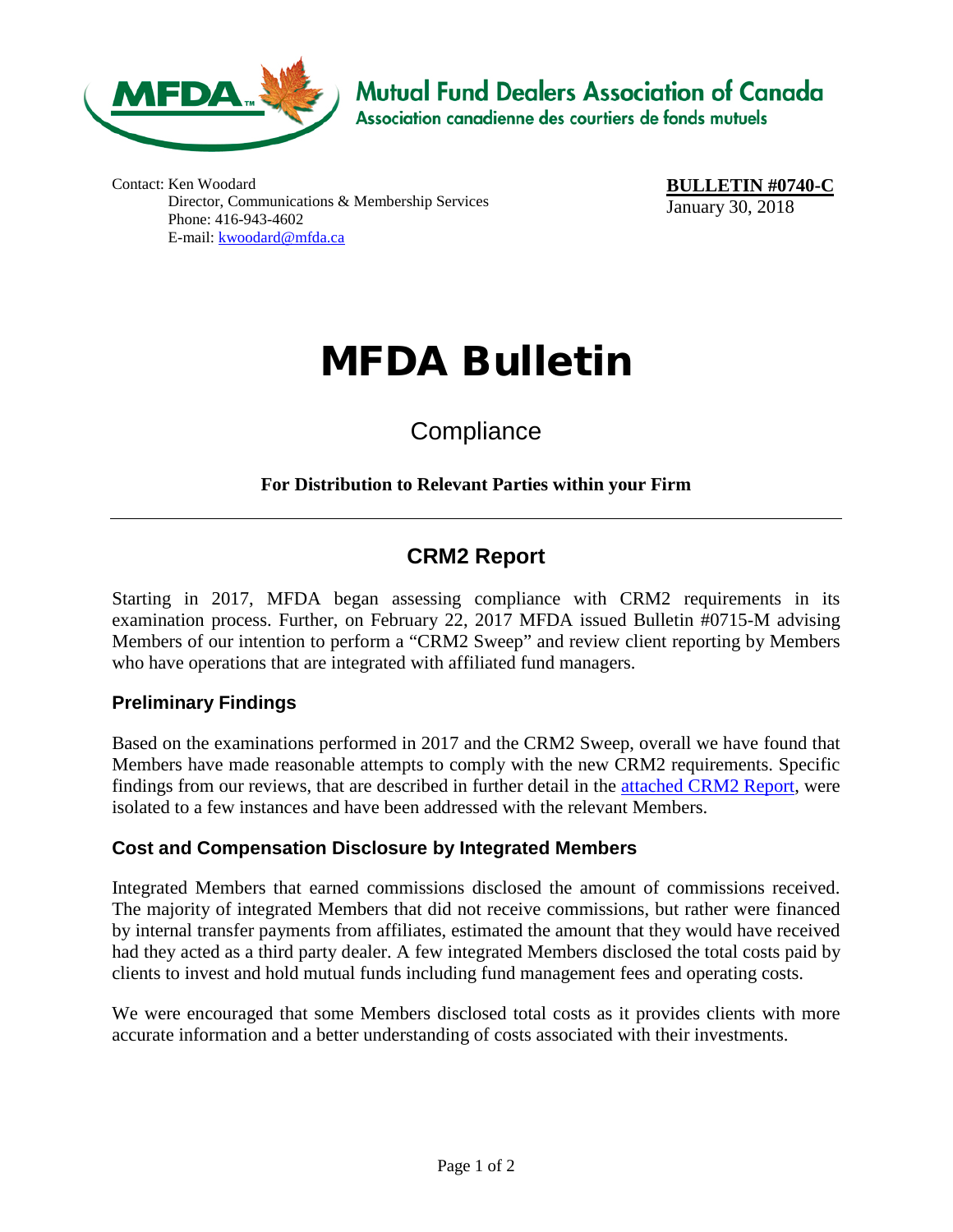

**Mutual Fund Dealers Association of Canada** Association canadienne des courtiers de fonds mutuels

Contact: Ken Woodard Director, Communications & Membership Services Phone: 416-943-4602 E-mail: [kwoodard@mfda.ca](mailto:kwoodard@mfda.ca)

**BULLETIN #0740-C** January 30, 2018

# MFDA Bulletin

# **Compliance**

#### **For Distribution to Relevant Parties within your Firm**

# **CRM2 Report**

Starting in 2017, MFDA began assessing compliance with CRM2 requirements in its examination process. Further, on February 22, 2017 MFDA issued Bulletin #0715-M advising Members of our intention to perform a "CRM2 Sweep" and review client reporting by Members who have operations that are integrated with affiliated fund managers.

#### **Preliminary Findings**

Based on the examinations performed in 2017 and the CRM2 Sweep, overall we have found that Members have made reasonable attempts to comply with the new CRM2 requirements. Specific findings from our reviews, that are described in further detail in the **attached CRM2 Report**, were isolated to a few instances and have been addressed with the relevant Members.

#### **Cost and Compensation Disclosure by Integrated Members**

Integrated Members that earned commissions disclosed the amount of commissions received. The majority of integrated Members that did not receive commissions, but rather were financed by internal transfer payments from affiliates, estimated the amount that they would have received had they acted as a third party dealer. A few integrated Members disclosed the total costs paid by clients to invest and hold mutual funds including fund management fees and operating costs.

We were encouraged that some Members disclosed total costs as it provides clients with more accurate information and a better understanding of costs associated with their investments.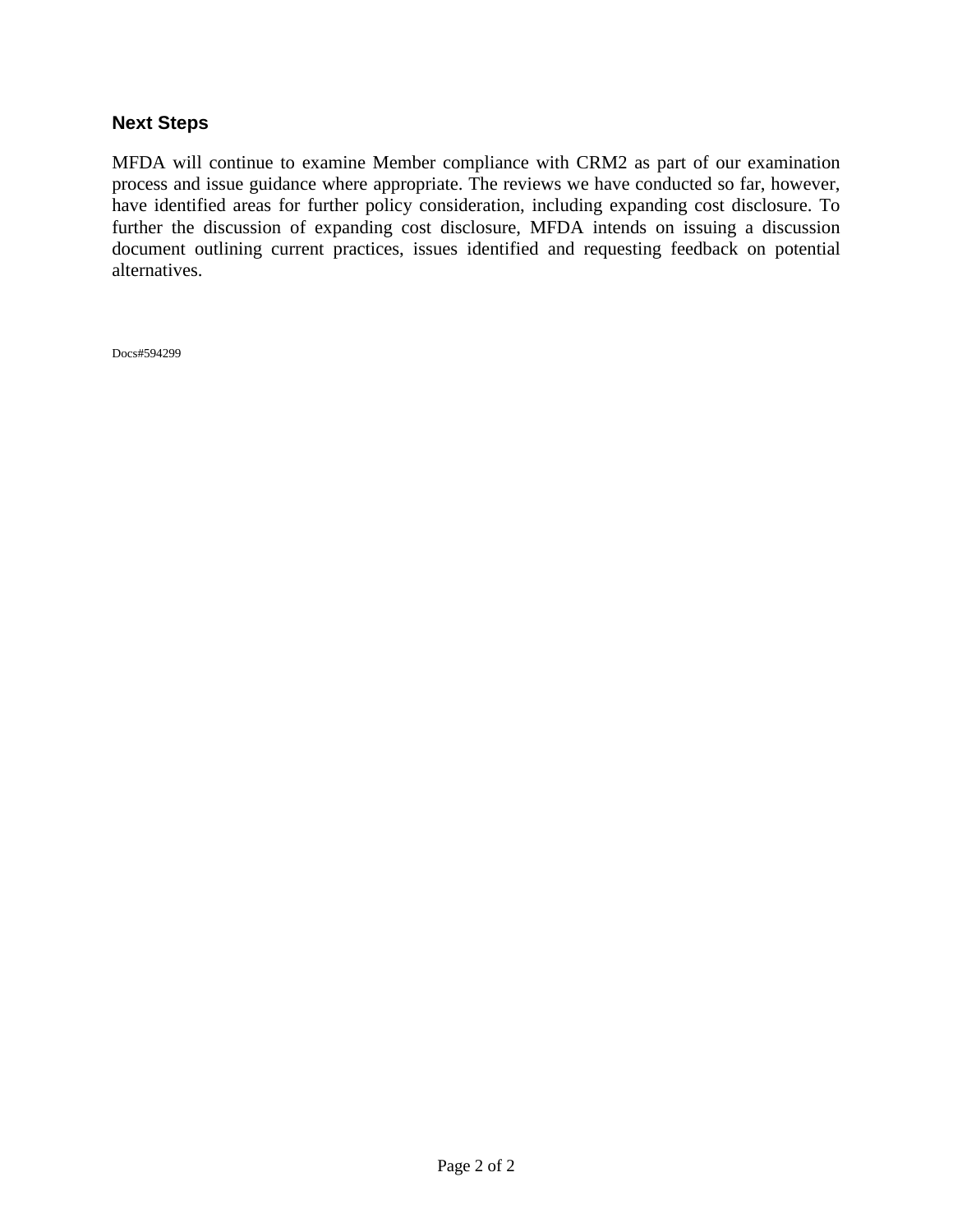#### **Next Steps**

MFDA will continue to examine Member compliance with CRM2 as part of our examination process and issue guidance where appropriate. The reviews we have conducted so far, however, have identified areas for further policy consideration, including expanding cost disclosure. To further the discussion of expanding cost disclosure, MFDA intends on issuing a discussion document outlining current practices, issues identified and requesting feedback on potential alternatives.

Docs#594299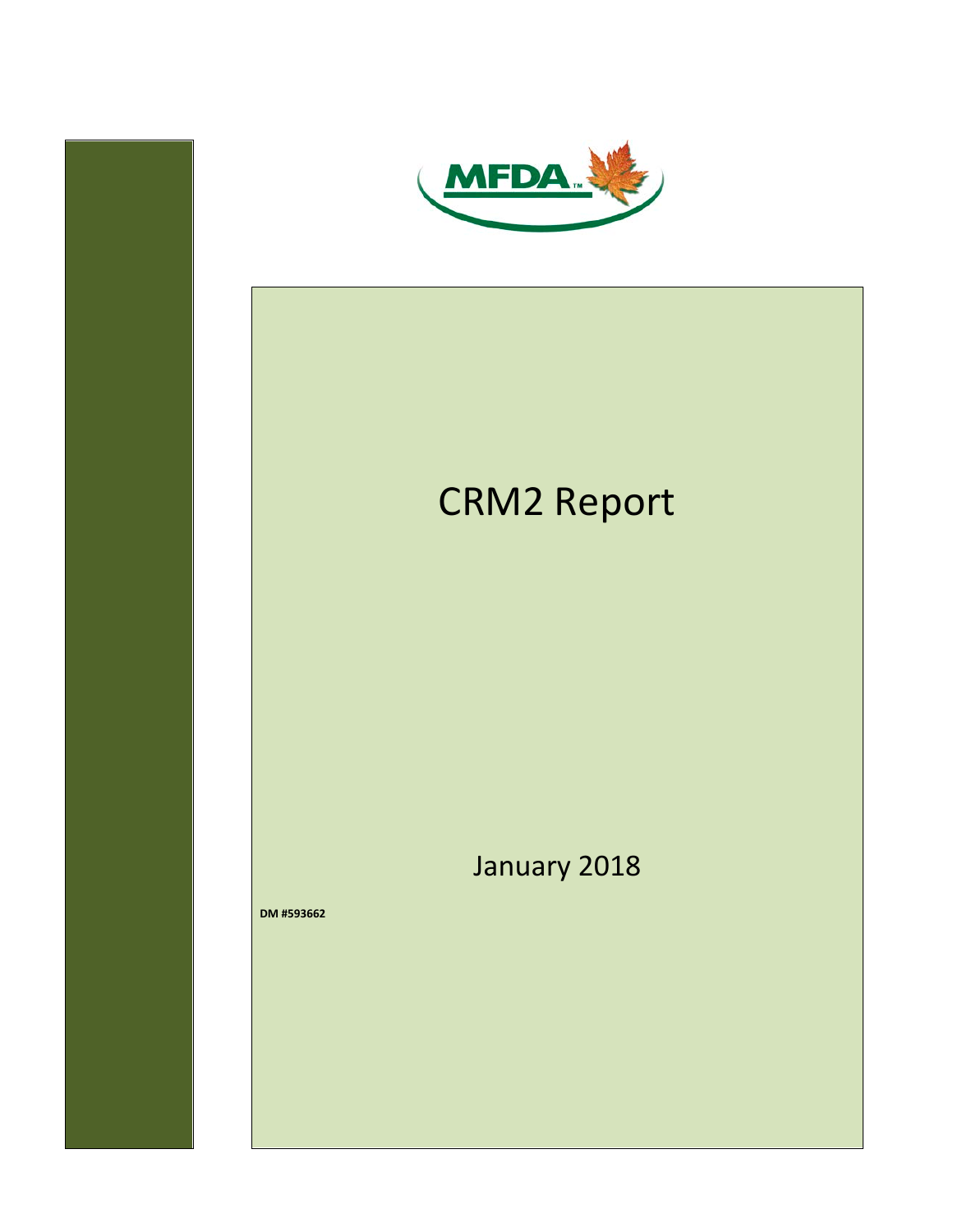<span id="page-2-0"></span>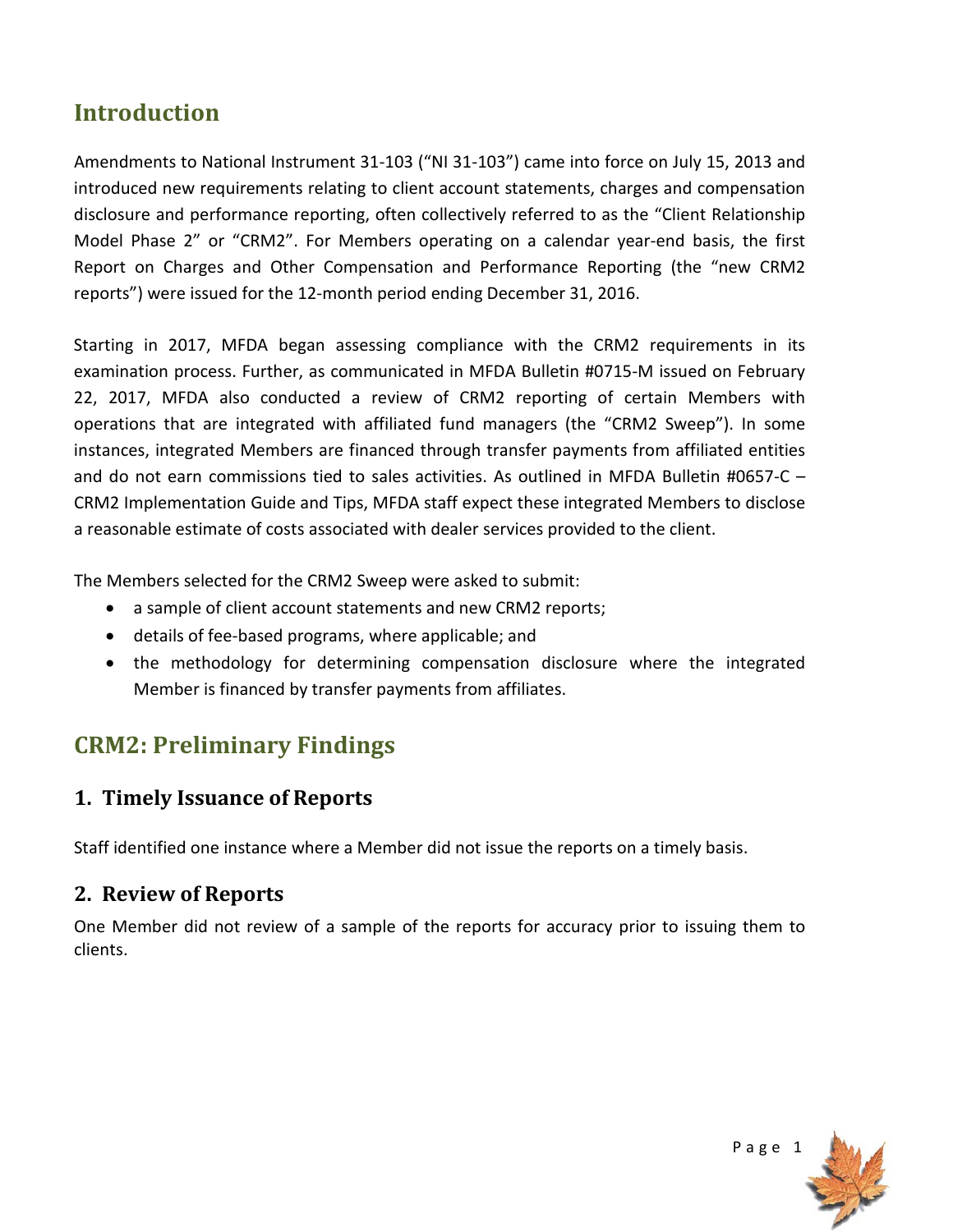# **Introduction**

Amendments to National Instrument 31-103 ("NI 31-103") came into force on July 15, 2013 and introduced new requirements relating to client account statements, charges and compensation disclosure and performance reporting, often collectively referred to as the "Client Relationship Model Phase 2" or "CRM2". For Members operating on a calendar year-end basis, the first Report on Charges and Other Compensation and Performance Reporting (the "new CRM2 reports") were issued for the 12-month period ending December 31, 2016.

Starting in 2017, MFDA began assessing compliance with the CRM2 requirements in its examination process. Further, as communicated in MFDA Bulletin #0715-M issued on February 22, 2017, MFDA also conducted a review of CRM2 reporting of certain Members with operations that are integrated with affiliated fund managers (the "CRM2 Sweep"). In some instances, integrated Members are financed through transfer payments from affiliated entities and do not earn commissions tied to sales activities. As outlined in MFDA Bulletin #0657-C – CRM2 Implementation Guide and Tips, MFDA staff expect these integrated Members to disclose a reasonable estimate of costs associated with dealer services provided to the client.

The Members selected for the CRM2 Sweep were asked to submit:

- a sample of client account statements and new CRM2 reports;
- details of fee-based programs, where applicable; and
- the methodology for determining compensation disclosure where the integrated Member is financed by transfer payments from affiliates.

# **CRM2: Preliminary Findings**

## **1. Timely Issuance of Reports**

Staff identified one instance where a Member did not issue the reports on a timely basis.

#### **2. Review of Reports**

One Member did not review of a sample of the reports for accuracy prior to issuing them to clients.

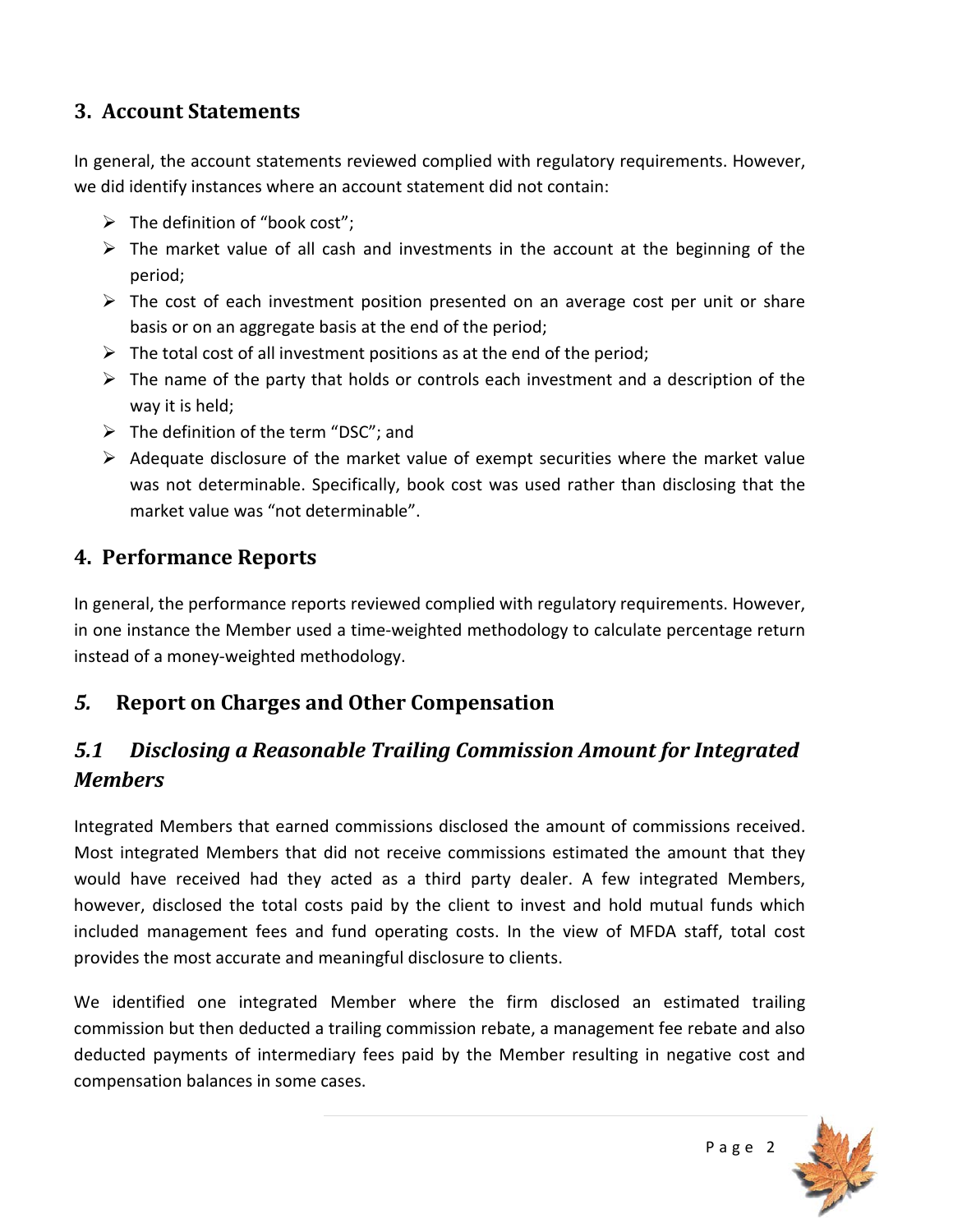#### **3. Account Statements**

In general, the account statements reviewed complied with regulatory requirements. However, we did identify instances where an account statement did not contain:

- $\triangleright$  The definition of "book cost";
- $\triangleright$  The market value of all cash and investments in the account at the beginning of the period;
- $\triangleright$  The cost of each investment position presented on an average cost per unit or share basis or on an aggregate basis at the end of the period;
- $\triangleright$  The total cost of all investment positions as at the end of the period;
- $\triangleright$  The name of the party that holds or controls each investment and a description of the way it is held;
- $\triangleright$  The definition of the term "DSC"; and
- $\triangleright$  Adequate disclosure of the market value of exempt securities where the market value was not determinable. Specifically, book cost was used rather than disclosing that the market value was "not determinable".

#### **4. Performance Reports**

In general, the performance reports reviewed complied with regulatory requirements. However, in one instance the Member used a time-weighted methodology to calculate percentage return instead of a money-weighted methodology.

## *5.* **Report on Charges and Other Compensation**

# *5.1 Disclosing a Reasonable Trailing Commission Amount for Integrated Members*

Integrated Members that earned commissions disclosed the amount of commissions received. Most integrated Members that did not receive commissions estimated the amount that they would have received had they acted as a third party dealer. A few integrated Members, however, disclosed the total costs paid by the client to invest and hold mutual funds which included management fees and fund operating costs. In the view of MFDA staff, total cost provides the most accurate and meaningful disclosure to clients.

We identified one integrated Member where the firm disclosed an estimated trailing commission but then deducted a trailing commission rebate, a management fee rebate and also deducted payments of intermediary fees paid by the Member resulting in negative cost and compensation balances in some cases.